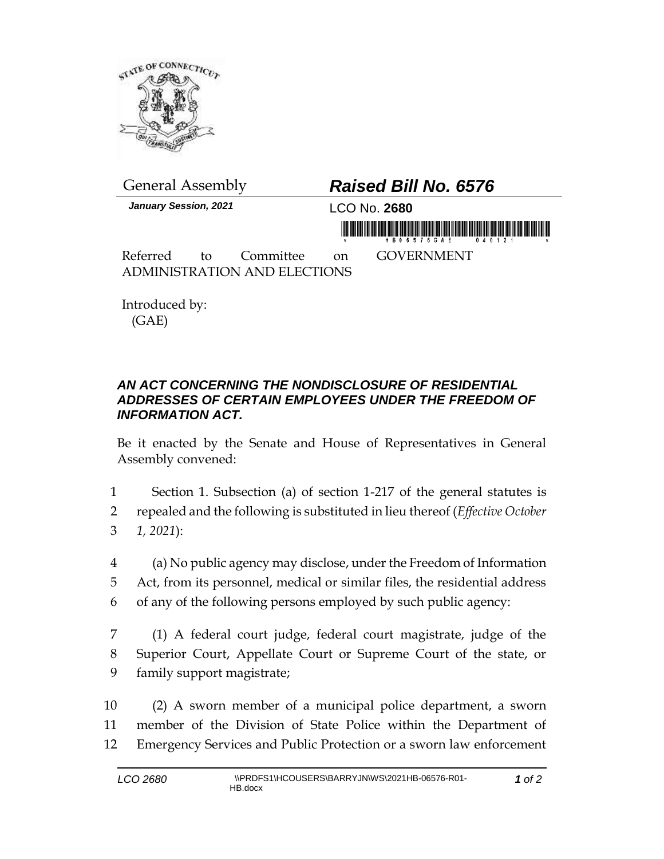

*January Session, 2021* LCO No. **2680**

## General Assembly *Raised Bill No. 6576*

in morning frisk in his first order for the first order of

Referred to Committee on GOVERNMENT ADMINISTRATION AND ELECTIONS

Introduced by: (GAE)

## *AN ACT CONCERNING THE NONDISCLOSURE OF RESIDENTIAL ADDRESSES OF CERTAIN EMPLOYEES UNDER THE FREEDOM OF INFORMATION ACT.*

Be it enacted by the Senate and House of Representatives in General Assembly convened:

1 Section 1. Subsection (a) of section 1-217 of the general statutes is 2 repealed and the following is substituted in lieu thereof (*Effective October*  3 *1, 2021*):

4 (a) No public agency may disclose, under the Freedom of Information 5 Act, from its personnel, medical or similar files, the residential address 6 of any of the following persons employed by such public agency:

7 (1) A federal court judge, federal court magistrate, judge of the 8 Superior Court, Appellate Court or Supreme Court of the state, or 9 family support magistrate;

10 (2) A sworn member of a municipal police department, a sworn 11 member of the Division of State Police within the Department of 12 Emergency Services and Public Protection or a sworn law enforcement